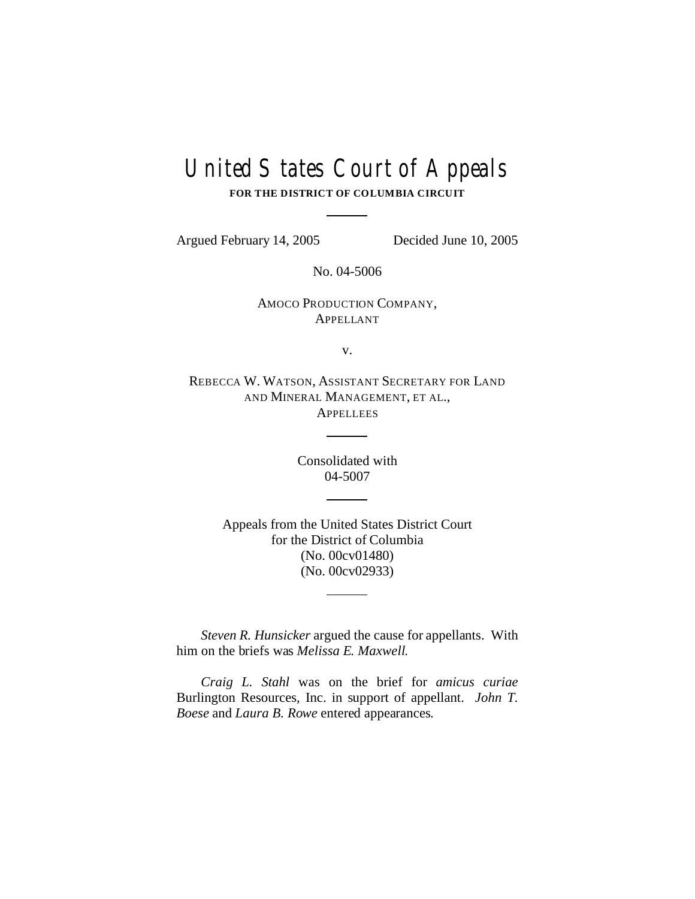# United States Court of Appeals

**FOR THE DISTRICT OF COLUMBIA CIRCUIT**

Argued February 14, 2005 Decided June 10, 2005

No. 04-5006

AMOCO PRODUCTION COMPANY, APPELLANT

v.

REBECCA W. WATSON, ASSISTANT SECRETARY FOR LAND AND MINERAL MANAGEMENT, ET AL., **APPELLEES** 

> Consolidated with 04-5007

Appeals from the United States District Court for the District of Columbia (No. 00cv01480) (No. 00cv02933)

*Steven R. Hunsicker* argued the cause for appellants. With him on the briefs was *Melissa E. Maxwell*.

*Craig L. Stahl* was on the brief for *amicus curiae* Burlington Resources, Inc. in support of appellant. *John T. Boese* and *Laura B. Rowe* entered appearances.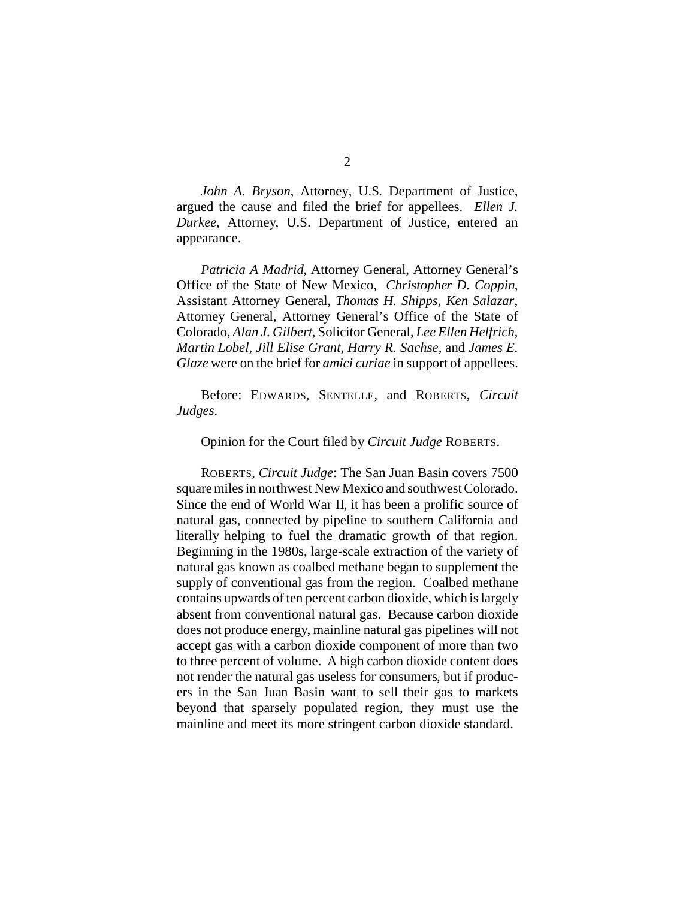*John A. Bryson*, Attorney, U.S. Department of Justice, argued the cause and filed the brief for appellees. *Ellen J. Durkee*, Attorney, U.S. Department of Justice, entered an appearance.

*Patricia A Madrid*, Attorney General, Attorney General's Office of the State of New Mexico, *Christopher D. Coppin*, Assistant Attorney General, *Thomas H. Shipps*, *Ken Salazar*, Attorney General, Attorney General's Office of the State of Colorado, *Alan J. Gilbert*, Solicitor General, *Lee Ellen Helfrich*, *Martin Lobel*, *Jill Elise Grant, Harry R. Sachse,* and *James E. Glaze* were on the brief for *amici curiae* in support of appellees.

Before: EDWARDS, SENTELLE, and ROBERTS, *Circuit Judges*.

Opinion for the Court filed by *Circuit Judge* ROBERTS.

ROBERTS, *Circuit Judge*: The San Juan Basin covers 7500 square miles in northwest New Mexico and southwest Colorado. Since the end of World War II, it has been a prolific source of natural gas, connected by pipeline to southern California and literally helping to fuel the dramatic growth of that region. Beginning in the 1980s, large-scale extraction of the variety of natural gas known as coalbed methane began to supplement the supply of conventional gas from the region. Coalbed methane contains upwards of ten percent carbon dioxide, which is largely absent from conventional natural gas. Because carbon dioxide does not produce energy, mainline natural gas pipelines will not accept gas with a carbon dioxide component of more than two to three percent of volume. A high carbon dioxide content does not render the natural gas useless for consumers, but if producers in the San Juan Basin want to sell their gas to markets beyond that sparsely populated region, they must use the mainline and meet its more stringent carbon dioxide standard.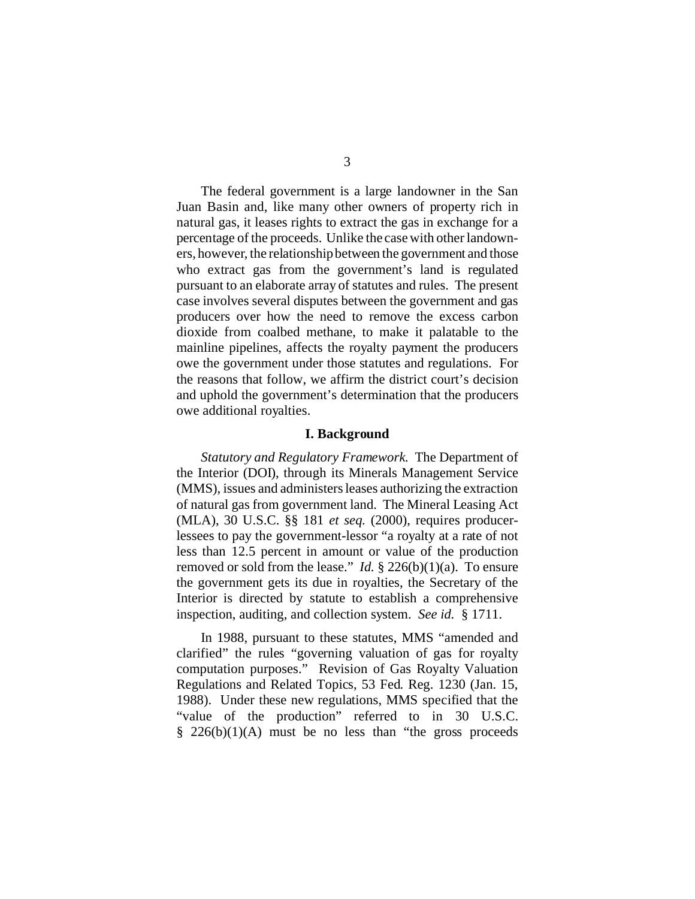The federal government is a large landowner in the San Juan Basin and, like many other owners of property rich in natural gas, it leases rights to extract the gas in exchange for a percentage of the proceeds. Unlike the case with other landowners, however, the relationship between the government and those who extract gas from the government's land is regulated pursuant to an elaborate array of statutes and rules. The present case involves several disputes between the government and gas producers over how the need to remove the excess carbon dioxide from coalbed methane, to make it palatable to the mainline pipelines, affects the royalty payment the producers owe the government under those statutes and regulations. For the reasons that follow, we affirm the district court's decision and uphold the government's determination that the producers owe additional royalties.

#### **I. Background**

*Statutory and Regulatory Framework*. The Department of the Interior (DOI), through its Minerals Management Service (MMS), issues and administers leases authorizing the extraction of natural gas from government land. The Mineral Leasing Act (MLA), 30 U.S.C. §§ 181 *et seq.* (2000), requires producerlessees to pay the government-lessor "a royalty at a rate of not less than 12.5 percent in amount or value of the production removed or sold from the lease." *Id.* § 226(b)(1)(a). To ensure the government gets its due in royalties, the Secretary of the Interior is directed by statute to establish a comprehensive inspection, auditing, and collection system. *See id.* § 1711.

In 1988, pursuant to these statutes, MMS "amended and clarified" the rules "governing valuation of gas for royalty computation purposes." Revision of Gas Royalty Valuation Regulations and Related Topics, 53 Fed. Reg. 1230 (Jan. 15, 1988). Under these new regulations, MMS specified that the "value of the production" referred to in 30 U.S.C.  $\frac{8}{226(b)(1)(A)}$  must be no less than "the gross proceeds"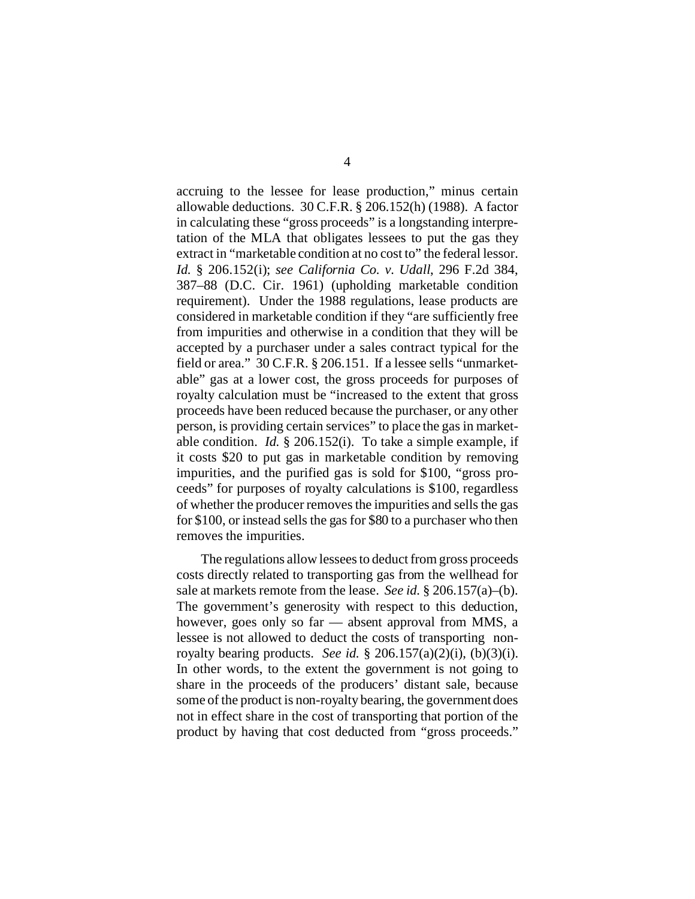accruing to the lessee for lease production," minus certain allowable deductions. 30 C.F.R. § 206.152(h) (1988). A factor in calculating these "gross proceeds" is a longstanding interpretation of the MLA that obligates lessees to put the gas they extract in "marketable condition at no cost to" the federal lessor. *Id.* § 206.152(i); *see California Co. v. Udall*, 296 F.2d 384, 387–88 (D.C. Cir. 1961) (upholding marketable condition requirement). Under the 1988 regulations, lease products are considered in marketable condition if they "are sufficiently free from impurities and otherwise in a condition that they will be accepted by a purchaser under a sales contract typical for the field or area." 30 C.F.R. § 206.151. If a lessee sells "unmarketable" gas at a lower cost, the gross proceeds for purposes of royalty calculation must be "increased to the extent that gross proceeds have been reduced because the purchaser, or any other person, is providing certain services" to place the gas in marketable condition. *Id.* § 206.152(i). To take a simple example, if it costs \$20 to put gas in marketable condition by removing impurities, and the purified gas is sold for \$100, "gross proceeds" for purposes of royalty calculations is \$100, regardless of whether the producer removes the impurities and sells the gas for \$100, or instead sells the gas for \$80 to a purchaser who then removes the impurities.

The regulations allow lessees to deduct from gross proceeds costs directly related to transporting gas from the wellhead for sale at markets remote from the lease. *See id.* § 206.157(a)–(b). The government's generosity with respect to this deduction, however, goes only so far — absent approval from MMS, a lessee is not allowed to deduct the costs of transporting nonroyalty bearing products. *See id.* § 206.157(a)(2)(i), (b)(3)(i). In other words, to the extent the government is not going to share in the proceeds of the producers' distant sale, because some of the product is non-royalty bearing, the government does not in effect share in the cost of transporting that portion of the product by having that cost deducted from "gross proceeds."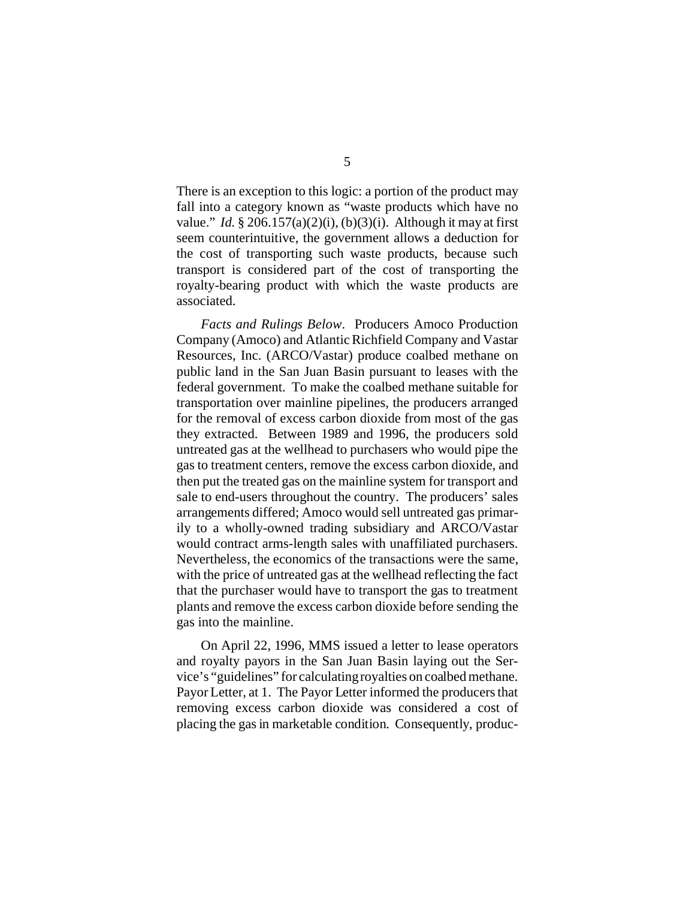There is an exception to this logic: a portion of the product may fall into a category known as "waste products which have no value." *Id.*  $\S 206.157(a)(2)(i)$ ,  $(b)(3)(i)$ . Although it may at first seem counterintuitive, the government allows a deduction for the cost of transporting such waste products, because such transport is considered part of the cost of transporting the royalty-bearing product with which the waste products are associated.

*Facts and Rulings Below*. Producers Amoco Production Company (Amoco) and Atlantic Richfield Company and Vastar Resources, Inc. (ARCO/Vastar) produce coalbed methane on public land in the San Juan Basin pursuant to leases with the federal government. To make the coalbed methane suitable for transportation over mainline pipelines, the producers arranged for the removal of excess carbon dioxide from most of the gas they extracted. Between 1989 and 1996, the producers sold untreated gas at the wellhead to purchasers who would pipe the gas to treatment centers, remove the excess carbon dioxide, and then put the treated gas on the mainline system for transport and sale to end-users throughout the country. The producers' sales arrangements differed; Amoco would sell untreated gas primarily to a wholly-owned trading subsidiary and ARCO/Vastar would contract arms-length sales with unaffiliated purchasers. Nevertheless, the economics of the transactions were the same, with the price of untreated gas at the wellhead reflecting the fact that the purchaser would have to transport the gas to treatment plants and remove the excess carbon dioxide before sending the gas into the mainline.

On April 22, 1996, MMS issued a letter to lease operators and royalty payors in the San Juan Basin laying out the Service's "guidelines" for calculating royalties on coalbed methane. Payor Letter, at 1. The Payor Letter informed the producers that removing excess carbon dioxide was considered a cost of placing the gas in marketable condition. Consequently, produc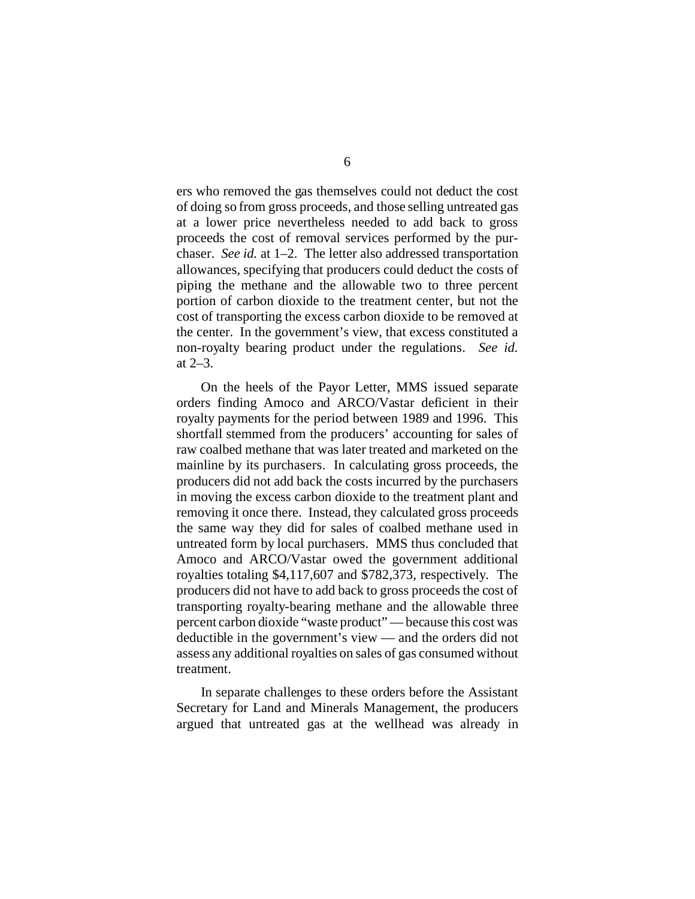ers who removed the gas themselves could not deduct the cost of doing so from gross proceeds, and those selling untreated gas at a lower price nevertheless needed to add back to gross proceeds the cost of removal services performed by the purchaser. *See id.* at 1–2. The letter also addressed transportation allowances, specifying that producers could deduct the costs of piping the methane and the allowable two to three percent portion of carbon dioxide to the treatment center, but not the cost of transporting the excess carbon dioxide to be removed at the center. In the government's view, that excess constituted a non-royalty bearing product under the regulations. *See id.* at 2–3.

On the heels of the Payor Letter, MMS issued separate orders finding Amoco and ARCO/Vastar deficient in their royalty payments for the period between 1989 and 1996. This shortfall stemmed from the producers' accounting for sales of raw coalbed methane that was later treated and marketed on the mainline by its purchasers. In calculating gross proceeds, the producers did not add back the costs incurred by the purchasers in moving the excess carbon dioxide to the treatment plant and removing it once there. Instead, they calculated gross proceeds the same way they did for sales of coalbed methane used in untreated form by local purchasers. MMS thus concluded that Amoco and ARCO/Vastar owed the government additional royalties totaling \$4,117,607 and \$782,373, respectively. The producers did not have to add back to gross proceeds the cost of transporting royalty-bearing methane and the allowable three percent carbon dioxide "waste product" — because this cost was deductible in the government's view — and the orders did not assess any additional royalties on sales of gas consumed without treatment.

In separate challenges to these orders before the Assistant Secretary for Land and Minerals Management, the producers argued that untreated gas at the wellhead was already in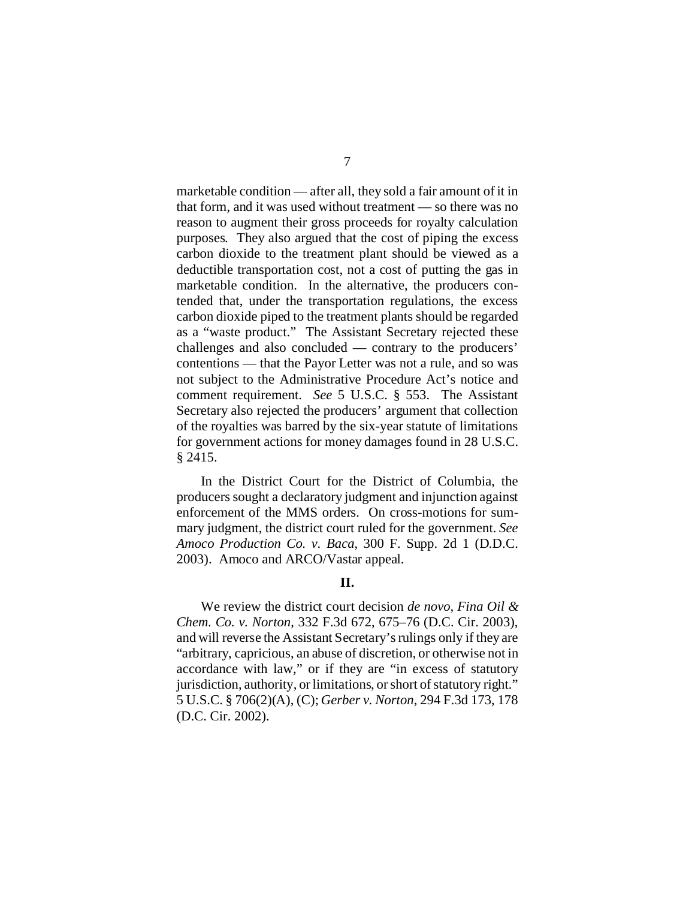marketable condition — after all, they sold a fair amount of it in that form, and it was used without treatment — so there was no reason to augment their gross proceeds for royalty calculation purposes. They also argued that the cost of piping the excess carbon dioxide to the treatment plant should be viewed as a deductible transportation cost, not a cost of putting the gas in marketable condition. In the alternative, the producers contended that, under the transportation regulations, the excess carbon dioxide piped to the treatment plants should be regarded as a "waste product." The Assistant Secretary rejected these challenges and also concluded — contrary to the producers' contentions — that the Payor Letter was not a rule, and so was not subject to the Administrative Procedure Act's notice and comment requirement. *See* 5 U.S.C. § 553. The Assistant Secretary also rejected the producers' argument that collection of the royalties was barred by the six-year statute of limitations for government actions for money damages found in 28 U.S.C. § 2415.

In the District Court for the District of Columbia, the producers sought a declaratory judgment and injunction against enforcement of the MMS orders. On cross-motions for summary judgment, the district court ruled for the government. *See Amoco Production Co. v. Baca*, 300 F. Supp. 2d 1 (D.D.C. 2003). Amoco and ARCO/Vastar appeal.

## **II.**

We review the district court decision *de novo*, *Fina Oil & Chem. Co. v. Norton*, 332 F.3d 672, 675–76 (D.C. Cir. 2003), and will reverse the Assistant Secretary's rulings only if they are "arbitrary, capricious, an abuse of discretion, or otherwise not in accordance with law," or if they are "in excess of statutory jurisdiction, authority, or limitations, or short of statutory right." 5 U.S.C. § 706(2)(A), (C); *Gerber v. Norton*, 294 F.3d 173, 178 (D.C. Cir. 2002).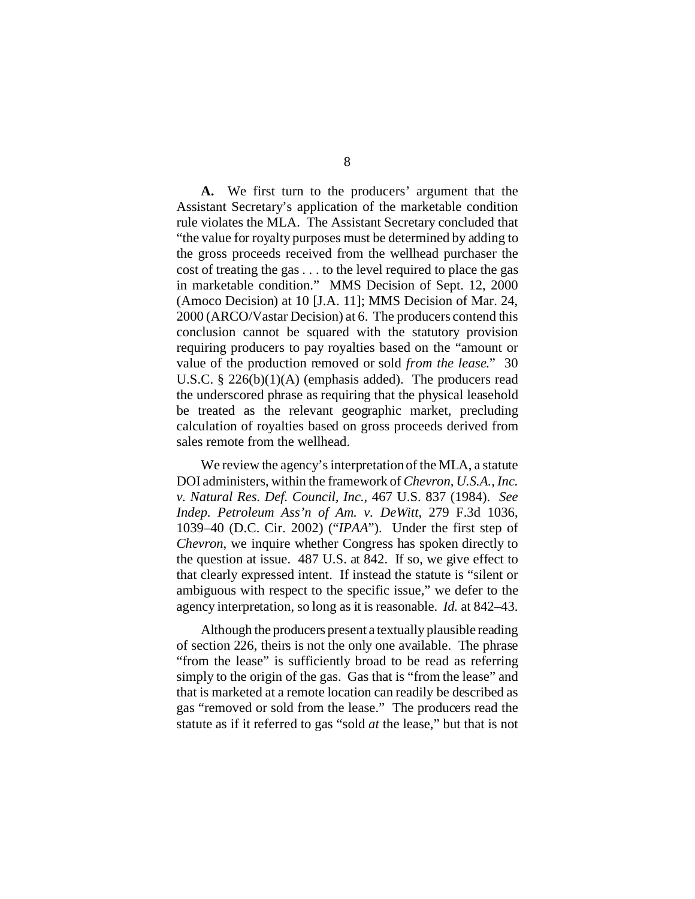**A.** We first turn to the producers' argument that the Assistant Secretary's application of the marketable condition rule violates the MLA. The Assistant Secretary concluded that "the value for royalty purposes must be determined by adding to the gross proceeds received from the wellhead purchaser the cost of treating the gas . . . to the level required to place the gas in marketable condition." MMS Decision of Sept. 12, 2000 (Amoco Decision) at 10 [J.A. 11]; MMS Decision of Mar. 24, 2000 (ARCO/Vastar Decision) at 6. The producers contend this conclusion cannot be squared with the statutory provision requiring producers to pay royalties based on the "amount or value of the production removed or sold *from the lease*." 30 U.S.C. § 226(b)(1)(A) (emphasis added). The producers read the underscored phrase as requiring that the physical leasehold be treated as the relevant geographic market, precluding calculation of royalties based on gross proceeds derived from sales remote from the wellhead.

We review the agency's interpretation of the MLA, a statute DOI administers, within the framework of *Chevron, U.S.A., Inc. v. Natural Res. Def. Council, Inc.*, 467 U.S. 837 (1984). *See Indep. Petroleum Ass'n of Am. v. DeWitt*, 279 F.3d 1036, 1039–40 (D.C. Cir. 2002) ("*IPAA*"). Under the first step of *Chevron*, we inquire whether Congress has spoken directly to the question at issue. 487 U.S. at 842. If so, we give effect to that clearly expressed intent. If instead the statute is "silent or ambiguous with respect to the specific issue," we defer to the agency interpretation, so long as it is reasonable. *Id.* at 842–43.

Although the producers present a textually plausible reading of section 226, theirs is not the only one available. The phrase "from the lease" is sufficiently broad to be read as referring simply to the origin of the gas. Gas that is "from the lease" and that is marketed at a remote location can readily be described as gas "removed or sold from the lease." The producers read the statute as if it referred to gas "sold *at* the lease," but that is not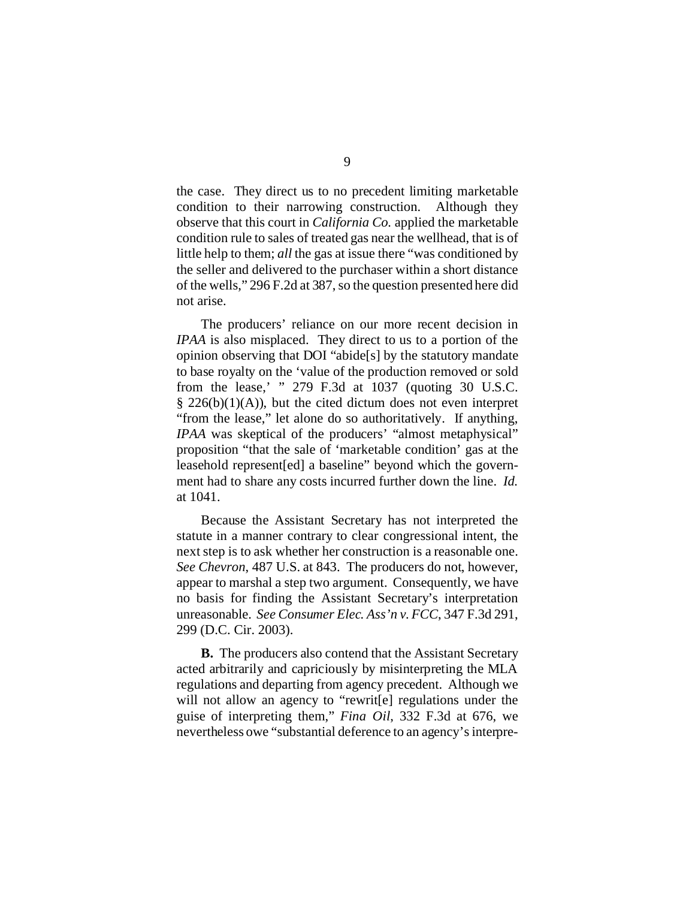the case. They direct us to no precedent limiting marketable condition to their narrowing construction. Although they observe that this court in *California Co.* applied the marketable condition rule to sales of treated gas near the wellhead, that is of little help to them; *all* the gas at issue there "was conditioned by the seller and delivered to the purchaser within a short distance of the wells," 296 F.2d at 387, so the question presented here did not arise.

The producers' reliance on our more recent decision in *IPAA* is also misplaced. They direct to us to a portion of the opinion observing that DOI "abide[s] by the statutory mandate to base royalty on the 'value of the production removed or sold from the lease,' " 279 F.3d at 1037 (quoting 30 U.S.C.  $§$  226(b)(1)(A)), but the cited dictum does not even interpret "from the lease," let alone do so authoritatively. If anything, *IPAA* was skeptical of the producers' "almost metaphysical" proposition "that the sale of 'marketable condition' gas at the leasehold represent[ed] a baseline" beyond which the government had to share any costs incurred further down the line. *Id.* at 1041.

Because the Assistant Secretary has not interpreted the statute in a manner contrary to clear congressional intent, the next step is to ask whether her construction is a reasonable one. *See Chevron*, 487 U.S. at 843. The producers do not, however, appear to marshal a step two argument. Consequently, we have no basis for finding the Assistant Secretary's interpretation unreasonable. *See Consumer Elec. Ass'n v. FCC*, 347 F.3d 291, 299 (D.C. Cir. 2003).

**B.** The producers also contend that the Assistant Secretary acted arbitrarily and capriciously by misinterpreting the MLA regulations and departing from agency precedent. Although we will not allow an agency to "rewritell regulations under the guise of interpreting them," *Fina Oil*, 332 F.3d at 676, we nevertheless owe "substantial deference to an agency's interpre-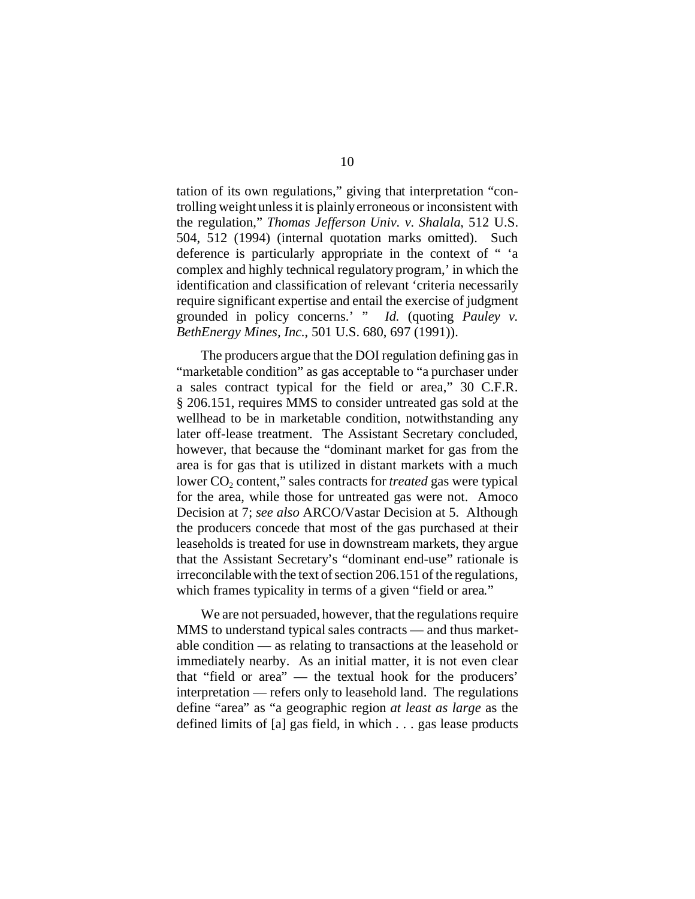tation of its own regulations," giving that interpretation "controlling weight unless it is plainly erroneous or inconsistent with the regulation," *Thomas Jefferson Univ. v. Shalala*, 512 U.S. 504, 512 (1994) (internal quotation marks omitted). Such deference is particularly appropriate in the context of " 'a complex and highly technical regulatory program,' in which the identification and classification of relevant 'criteria necessarily require significant expertise and entail the exercise of judgment grounded in policy concerns.' " *Id.* (quoting *Pauley v. BethEnergy Mines, Inc.*, 501 U.S. 680, 697 (1991)).

The producers argue that the DOI regulation defining gas in "marketable condition" as gas acceptable to "a purchaser under a sales contract typical for the field or area," 30 C.F.R. § 206.151, requires MMS to consider untreated gas sold at the wellhead to be in marketable condition, notwithstanding any later off-lease treatment. The Assistant Secretary concluded, however, that because the "dominant market for gas from the area is for gas that is utilized in distant markets with a much lower CO<sub>2</sub> content," sales contracts for *treated* gas were typical for the area, while those for untreated gas were not. Amoco Decision at 7; *see also* ARCO/Vastar Decision at 5. Although the producers concede that most of the gas purchased at their leaseholds is treated for use in downstream markets, they argue that the Assistant Secretary's "dominant end-use" rationale is irreconcilable with the text of section 206.151 of the regulations, which frames typicality in terms of a given "field or area*.*"

We are not persuaded, however, that the regulations require MMS to understand typical sales contracts — and thus marketable condition — as relating to transactions at the leasehold or immediately nearby. As an initial matter, it is not even clear that "field or area" — the textual hook for the producers' interpretation — refers only to leasehold land. The regulations define "area" as "a geographic region *at least as large* as the defined limits of [a] gas field, in which . . . gas lease products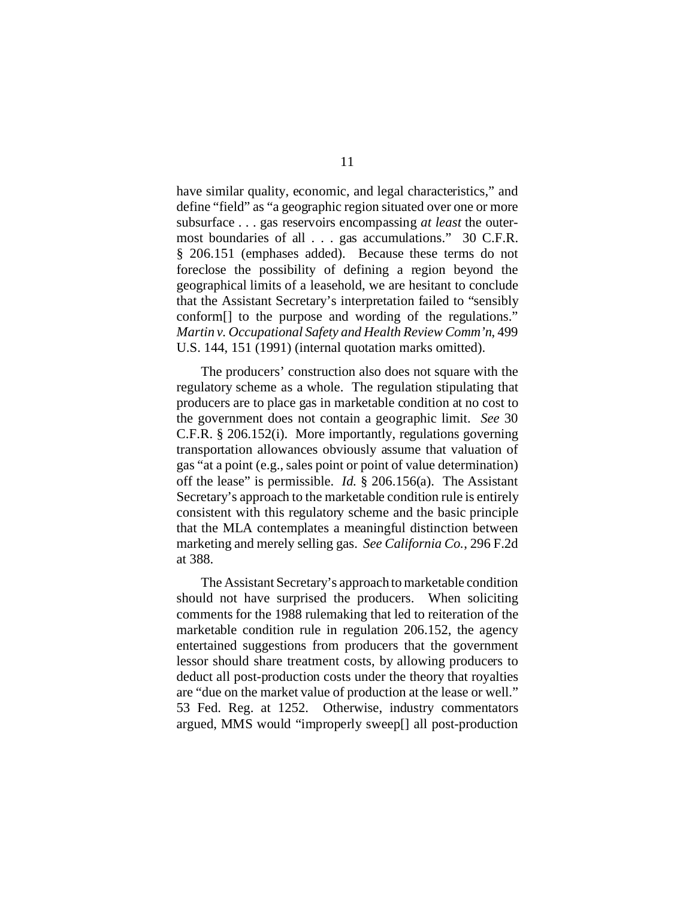have similar quality, economic, and legal characteristics," and define "field" as "a geographic region situated over one or more subsurface . . . gas reservoirs encompassing *at least* the outermost boundaries of all . . . gas accumulations." 30 C.F.R. § 206.151 (emphases added). Because these terms do not foreclose the possibility of defining a region beyond the geographical limits of a leasehold, we are hesitant to conclude that the Assistant Secretary's interpretation failed to "sensibly conform[] to the purpose and wording of the regulations." *Martin v. Occupational Safety and Health Review Comm'n*, 499 U.S. 144, 151 (1991) (internal quotation marks omitted).

The producers' construction also does not square with the regulatory scheme as a whole. The regulation stipulating that producers are to place gas in marketable condition at no cost to the government does not contain a geographic limit. *See* 30 C.F.R. § 206.152(i). More importantly, regulations governing transportation allowances obviously assume that valuation of gas "at a point (e.g., sales point or point of value determination) off the lease" is permissible. *Id.* § 206.156(a). The Assistant Secretary's approach to the marketable condition rule is entirely consistent with this regulatory scheme and the basic principle that the MLA contemplates a meaningful distinction between marketing and merely selling gas. *See California Co.*, 296 F.2d at 388.

The Assistant Secretary's approach to marketable condition should not have surprised the producers. When soliciting comments for the 1988 rulemaking that led to reiteration of the marketable condition rule in regulation 206.152, the agency entertained suggestions from producers that the government lessor should share treatment costs, by allowing producers to deduct all post-production costs under the theory that royalties are "due on the market value of production at the lease or well." 53 Fed. Reg. at 1252. Otherwise, industry commentators argued, MMS would "improperly sweep[] all post-production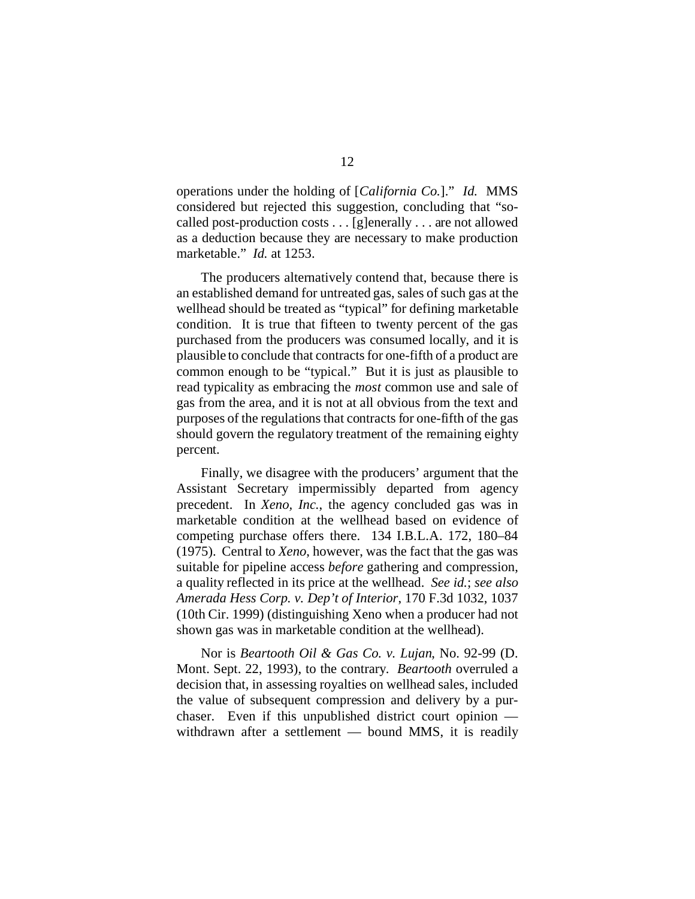operations under the holding of [*California Co.*]." *Id.* MMS considered but rejected this suggestion, concluding that "socalled post-production costs . . . [g]enerally . . . are not allowed as a deduction because they are necessary to make production marketable." *Id.* at 1253.

The producers alternatively contend that, because there is an established demand for untreated gas, sales of such gas at the wellhead should be treated as "typical" for defining marketable condition. It is true that fifteen to twenty percent of the gas purchased from the producers was consumed locally, and it is plausible to conclude that contracts for one-fifth of a product are common enough to be "typical." But it is just as plausible to read typicality as embracing the *most* common use and sale of gas from the area, and it is not at all obvious from the text and purposes of the regulations that contracts for one-fifth of the gas should govern the regulatory treatment of the remaining eighty percent.

Finally, we disagree with the producers' argument that the Assistant Secretary impermissibly departed from agency precedent. In *Xeno, Inc.*, the agency concluded gas was in marketable condition at the wellhead based on evidence of competing purchase offers there. 134 I.B.L.A. 172, 180–84 (1975). Central to *Xeno*, however, was the fact that the gas was suitable for pipeline access *before* gathering and compression, a quality reflected in its price at the wellhead. *See id.*; *see also Amerada Hess Corp. v. Dep't of Interior*, 170 F.3d 1032, 1037 (10th Cir. 1999) (distinguishing Xeno when a producer had not shown gas was in marketable condition at the wellhead).

Nor is *Beartooth Oil & Gas Co. v. Lujan*, No. 92-99 (D. Mont. Sept. 22, 1993), to the contrary. *Beartooth* overruled a decision that, in assessing royalties on wellhead sales, included the value of subsequent compression and delivery by a purchaser. Even if this unpublished district court opinion withdrawn after a settlement — bound MMS, it is readily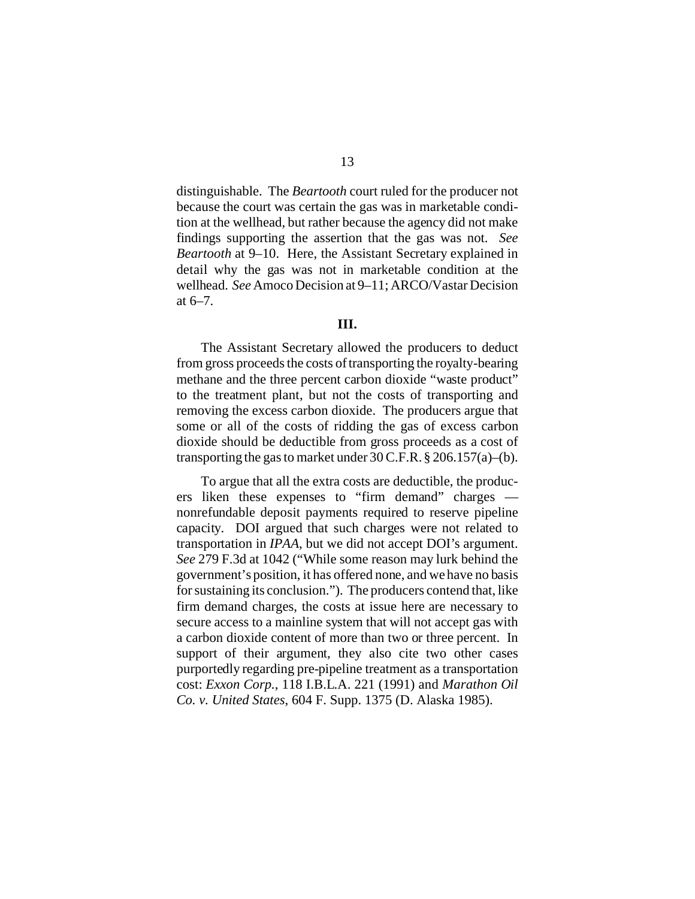distinguishable. The *Beartooth* court ruled for the producer not because the court was certain the gas was in marketable condition at the wellhead, but rather because the agency did not make findings supporting the assertion that the gas was not. *See Beartooth* at 9–10. Here, the Assistant Secretary explained in detail why the gas was not in marketable condition at the wellhead. *See* Amoco Decision at 9–11; ARCO/Vastar Decision at 6–7.

#### **III.**

The Assistant Secretary allowed the producers to deduct from gross proceeds the costs of transporting the royalty-bearing methane and the three percent carbon dioxide "waste product" to the treatment plant, but not the costs of transporting and removing the excess carbon dioxide. The producers argue that some or all of the costs of ridding the gas of excess carbon dioxide should be deductible from gross proceeds as a cost of transporting the gas to market under  $30$  C.F.R.  $\S 206.157(a)$ –(b).

To argue that all the extra costs are deductible, the producers liken these expenses to "firm demand" charges nonrefundable deposit payments required to reserve pipeline capacity. DOI argued that such charges were not related to transportation in *IPAA*, but we did not accept DOI's argument. *See* 279 F.3d at 1042 ("While some reason may lurk behind the government's position, it has offered none, and we have no basis for sustaining its conclusion."). The producers contend that, like firm demand charges, the costs at issue here are necessary to secure access to a mainline system that will not accept gas with a carbon dioxide content of more than two or three percent. In support of their argument, they also cite two other cases purportedly regarding pre-pipeline treatment as a transportation cost: *Exxon Corp.*, 118 I.B.L.A. 221 (1991) and *Marathon Oil Co. v. United States*, 604 F. Supp. 1375 (D. Alaska 1985).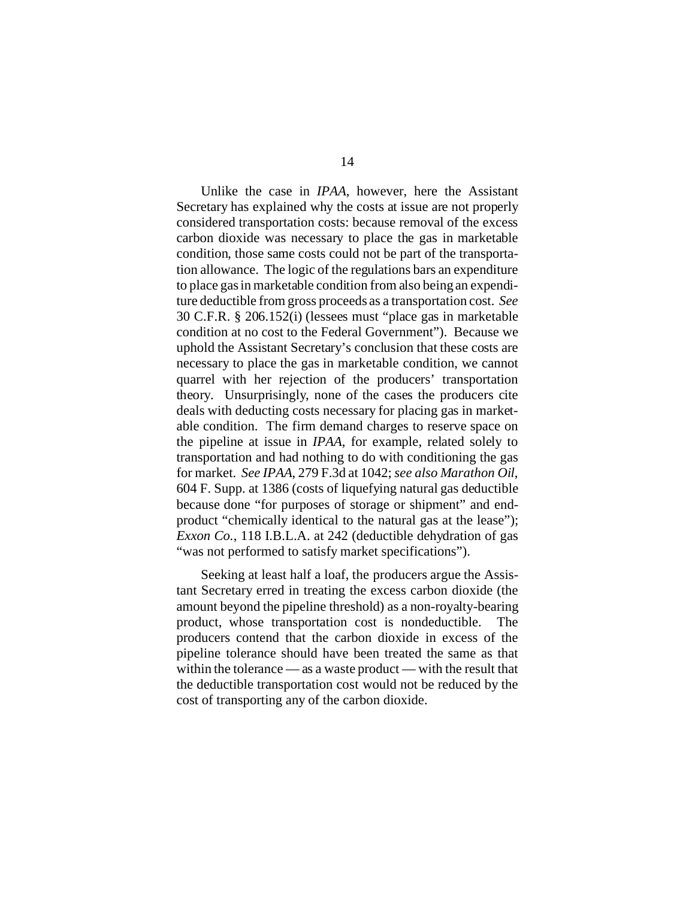Unlike the case in *IPAA*, however, here the Assistant Secretary has explained why the costs at issue are not properly considered transportation costs: because removal of the excess carbon dioxide was necessary to place the gas in marketable condition, those same costs could not be part of the transportation allowance. The logic of the regulations bars an expenditure to place gas in marketable condition from also being an expenditure deductible from gross proceeds as a transportation cost. *See* 30 C.F.R. § 206.152(i) (lessees must "place gas in marketable condition at no cost to the Federal Government"). Because we uphold the Assistant Secretary's conclusion that these costs are necessary to place the gas in marketable condition, we cannot quarrel with her rejection of the producers' transportation theory. Unsurprisingly, none of the cases the producers cite deals with deducting costs necessary for placing gas in marketable condition. The firm demand charges to reserve space on the pipeline at issue in *IPAA*, for example, related solely to transportation and had nothing to do with conditioning the gas for market. *See IPAA*, 279 F.3d at 1042; *see also Marathon Oil*, 604 F. Supp. at 1386 (costs of liquefying natural gas deductible because done "for purposes of storage or shipment" and endproduct "chemically identical to the natural gas at the lease"); *Exxon Co.*, 118 I.B.L.A. at 242 (deductible dehydration of gas "was not performed to satisfy market specifications").

Seeking at least half a loaf, the producers argue the Assistant Secretary erred in treating the excess carbon dioxide (the amount beyond the pipeline threshold) as a non-royalty-bearing product, whose transportation cost is nondeductible. The producers contend that the carbon dioxide in excess of the pipeline tolerance should have been treated the same as that within the tolerance — as a waste product — with the result that the deductible transportation cost would not be reduced by the cost of transporting any of the carbon dioxide.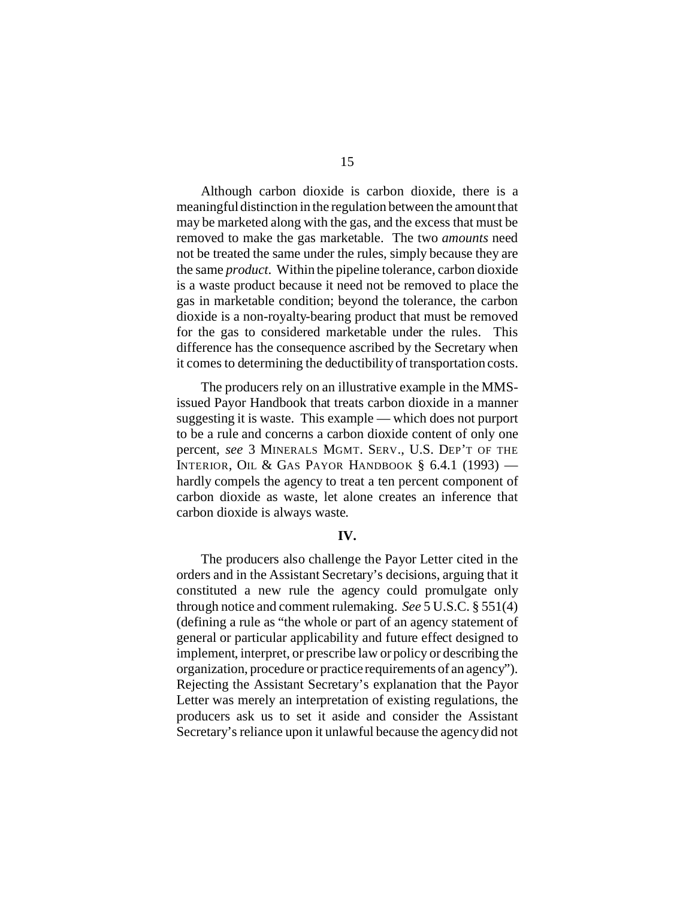Although carbon dioxide is carbon dioxide, there is a meaningful distinction in the regulation between the amount that may be marketed along with the gas, and the excess that must be removed to make the gas marketable. The two *amounts* need not be treated the same under the rules, simply because they are the same *product*. Within the pipeline tolerance, carbon dioxide is a waste product because it need not be removed to place the gas in marketable condition; beyond the tolerance, the carbon dioxide is a non-royalty-bearing product that must be removed for the gas to considered marketable under the rules. This difference has the consequence ascribed by the Secretary when it comes to determining the deductibility of transportation costs.

The producers rely on an illustrative example in the MMSissued Payor Handbook that treats carbon dioxide in a manner suggesting it is waste. This example — which does not purport to be a rule and concerns a carbon dioxide content of only one percent, *see* 3 MINERALS MGMT. SERV., U.S. DEP'T OF THE INTERIOR, OIL & GAS PAYOR HANDBOOK  $\S$  6.4.1 (1993) – hardly compels the agency to treat a ten percent component of carbon dioxide as waste, let alone creates an inference that carbon dioxide is always waste.

#### **IV.**

The producers also challenge the Payor Letter cited in the orders and in the Assistant Secretary's decisions, arguing that it constituted a new rule the agency could promulgate only through notice and comment rulemaking. *See* 5 U.S.C. § 551(4) (defining a rule as "the whole or part of an agency statement of general or particular applicability and future effect designed to implement, interpret, or prescribe law or policy or describing the organization, procedure or practice requirements of an agency"). Rejecting the Assistant Secretary's explanation that the Payor Letter was merely an interpretation of existing regulations, the producers ask us to set it aside and consider the Assistant Secretary's reliance upon it unlawful because the agency did not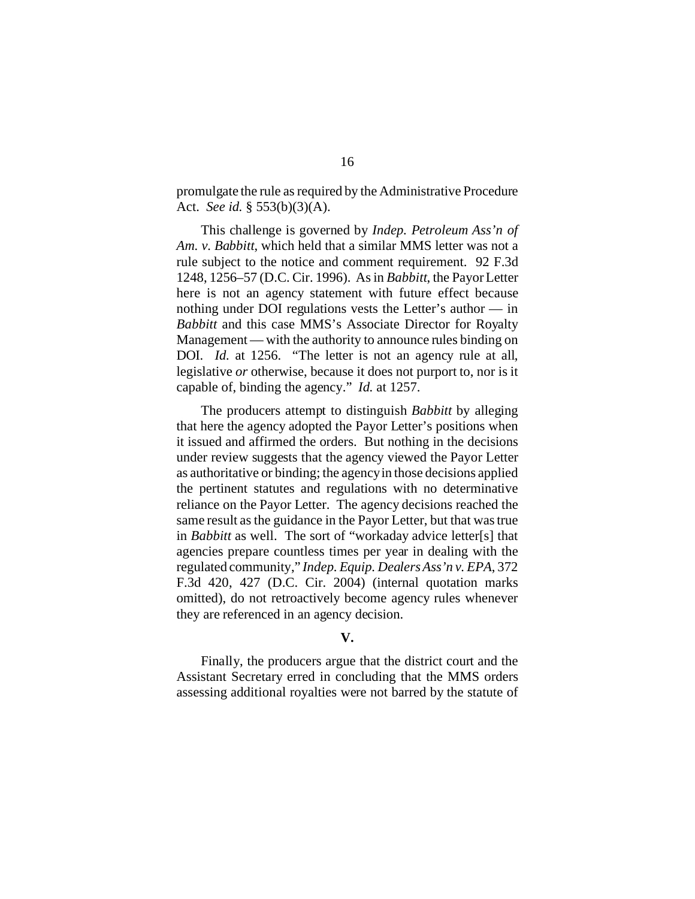promulgate the rule as required by the Administrative Procedure Act. *See id.* § 553(b)(3)(A).

This challenge is governed by *Indep. Petroleum Ass'n of Am. v. Babbitt*, which held that a similar MMS letter was not a rule subject to the notice and comment requirement. 92 F.3d 1248, 1256–57 (D.C. Cir. 1996). As in *Babbitt*, the Payor Letter here is not an agency statement with future effect because nothing under DOI regulations vests the Letter's author — in *Babbitt* and this case MMS's Associate Director for Royalty Management — with the authority to announce rules binding on DOI. *Id.* at 1256. "The letter is not an agency rule at all, legislative *or* otherwise, because it does not purport to, nor is it capable of, binding the agency." *Id.* at 1257.

The producers attempt to distinguish *Babbitt* by alleging that here the agency adopted the Payor Letter's positions when it issued and affirmed the orders. But nothing in the decisions under review suggests that the agency viewed the Payor Letter as authoritative or binding; the agency in those decisions applied the pertinent statutes and regulations with no determinative reliance on the Payor Letter. The agency decisions reached the same result as the guidance in the Payor Letter, but that was true in *Babbitt* as well. The sort of "workaday advice letter[s] that agencies prepare countless times per year in dealing with the regulated community," *Indep. Equip. Dealers Ass'n v. EPA*, 372 F.3d 420, 427 (D.C. Cir. 2004) (internal quotation marks omitted), do not retroactively become agency rules whenever they are referenced in an agency decision.

## **V.**

Finally, the producers argue that the district court and the Assistant Secretary erred in concluding that the MMS orders assessing additional royalties were not barred by the statute of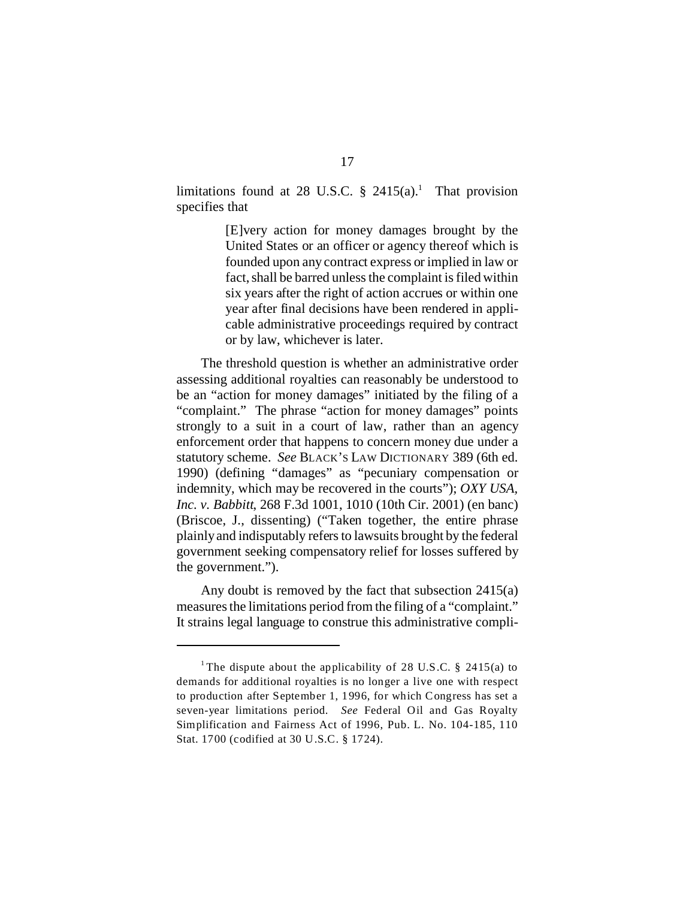limitations found at 28 U.S.C.  $\S$  2415(a).<sup>1</sup> That provision specifies that

> [E]very action for money damages brought by the United States or an officer or agency thereof which is founded upon any contract express or implied in law or fact, shall be barred unless the complaint is filed within six years after the right of action accrues or within one year after final decisions have been rendered in applicable administrative proceedings required by contract or by law, whichever is later.

The threshold question is whether an administrative order assessing additional royalties can reasonably be understood to be an "action for money damages" initiated by the filing of a "complaint." The phrase "action for money damages" points strongly to a suit in a court of law, rather than an agency enforcement order that happens to concern money due under a statutory scheme. *See* BLACK'S LAW DICTIONARY 389 (6th ed. 1990) (defining "damages" as "pecuniary compensation or indemnity, which may be recovered in the courts"); *OXY USA, Inc. v. Babbitt*, 268 F.3d 1001, 1010 (10th Cir. 2001) (en banc) (Briscoe, J., dissenting) ("Taken together, the entire phrase plainly and indisputably refers to lawsuits brought by the federal government seeking compensatory relief for losses suffered by the government.").

Any doubt is removed by the fact that subsection 2415(a) measures the limitations period from the filing of a "complaint." It strains legal language to construe this administrative compli-

<sup>&</sup>lt;sup>1</sup> The dispute about the applicability of 28 U.S.C. § 2415(a) to demands for additional royalties is no longer a live one with respect to production after September 1, 1996, for which Congress has set a seven-year limitations period. *See* Federal Oil and Gas Royalty Simplification and Fairness Act of 1996, Pub. L. No. 104-185, 110 Stat. 1700 (codified at 30 U.S.C. § 1724).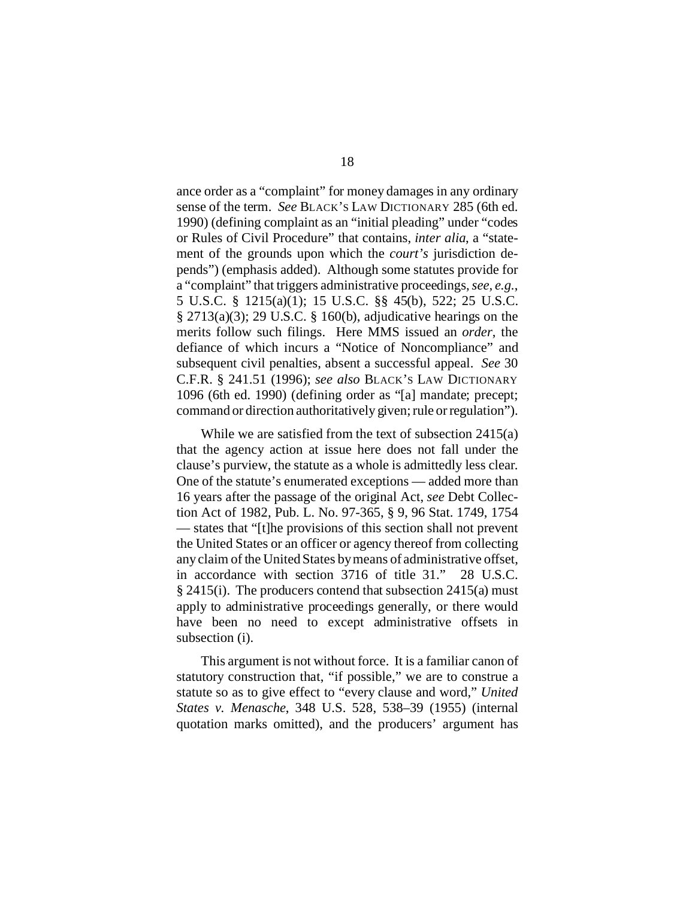ance order as a "complaint" for money damages in any ordinary sense of the term. *See* BLACK'S LAW DICTIONARY 285 (6th ed. 1990) (defining complaint as an "initial pleading" under "codes or Rules of Civil Procedure" that contains, *inter alia*, a "statement of the grounds upon which the *court's* jurisdiction depends") (emphasis added). Although some statutes provide for a "complaint" that triggers administrative proceedings, *see, e.g.*, 5 U.S.C. § 1215(a)(1); 15 U.S.C. §§ 45(b), 522; 25 U.S.C.  $\S 2713(a)(3)$ ; 29 U.S.C.  $\S 160(b)$ , adjudicative hearings on the merits follow such filings. Here MMS issued an *order*, the defiance of which incurs a "Notice of Noncompliance" and subsequent civil penalties, absent a successful appeal. *See* 30 C.F.R. § 241.51 (1996); *see also* BLACK'S LAW DICTIONARY 1096 (6th ed. 1990) (defining order as "[a] mandate; precept; command or direction authoritatively given; rule or regulation").

While we are satisfied from the text of subsection 2415(a) that the agency action at issue here does not fall under the clause's purview, the statute as a whole is admittedly less clear. One of the statute's enumerated exceptions — added more than 16 years after the passage of the original Act, *see* Debt Collection Act of 1982, Pub. L. No. 97-365, § 9, 96 Stat. 1749, 1754 — states that "[t]he provisions of this section shall not prevent the United States or an officer or agency thereof from collecting any claim of the United States by means of administrative offset, in accordance with section 3716 of title 31." 28 U.S.C. § 2415(i). The producers contend that subsection 2415(a) must apply to administrative proceedings generally, or there would have been no need to except administrative offsets in subsection (i).

This argument is not without force. It is a familiar canon of statutory construction that, "if possible," we are to construe a statute so as to give effect to "every clause and word," *United States v. Menasche*, 348 U.S. 528, 538–39 (1955) (internal quotation marks omitted), and the producers' argument has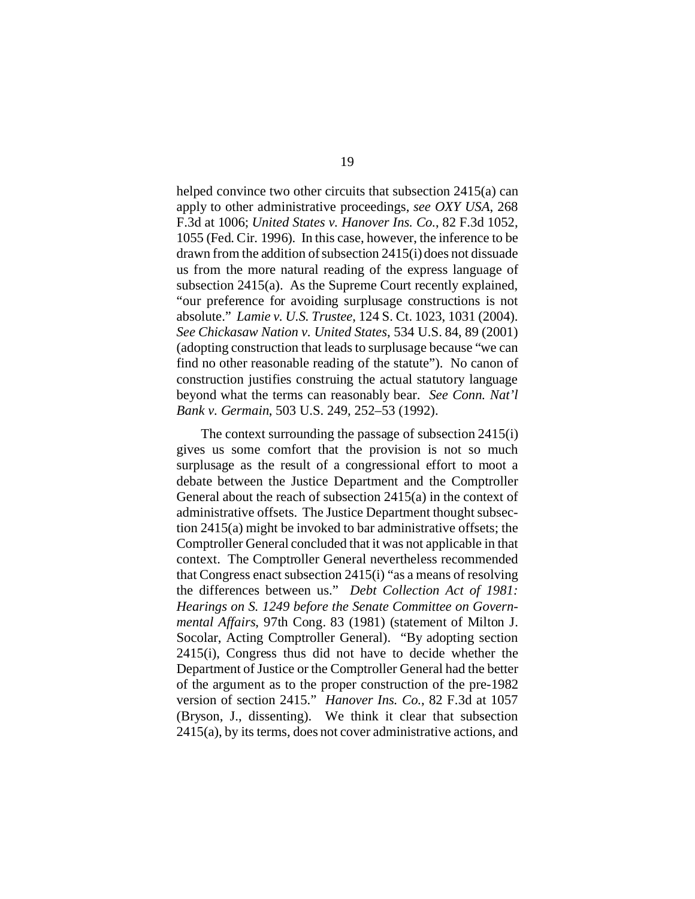helped convince two other circuits that subsection 2415(a) can apply to other administrative proceedings, *see OXY USA*, 268 F.3d at 1006; *United States v. Hanover Ins. Co.*, 82 F.3d 1052, 1055 (Fed. Cir. 1996). In this case, however, the inference to be drawn from the addition of subsection 2415(i) does not dissuade us from the more natural reading of the express language of subsection 2415(a). As the Supreme Court recently explained, "our preference for avoiding surplusage constructions is not absolute." *Lamie v. U.S. Trustee*, 124 S. Ct. 1023, 1031 (2004). *See Chickasaw Nation v. United States*, 534 U.S. 84, 89 (2001) (adopting construction that leads to surplusage because "we can find no other reasonable reading of the statute"). No canon of construction justifies construing the actual statutory language beyond what the terms can reasonably bear. *See Conn. Nat'l Bank v. Germain*, 503 U.S. 249, 252–53 (1992).

The context surrounding the passage of subsection 2415(i) gives us some comfort that the provision is not so much surplusage as the result of a congressional effort to moot a debate between the Justice Department and the Comptroller General about the reach of subsection 2415(a) in the context of administrative offsets. The Justice Department thought subsection 2415(a) might be invoked to bar administrative offsets; the Comptroller General concluded that it was not applicable in that context. The Comptroller General nevertheless recommended that Congress enact subsection 2415(i) "as a means of resolving the differences between us." *Debt Collection Act of 1981: Hearings on S. 1249 before the Senate Committee on Governmental Affairs*, 97th Cong. 83 (1981) (statement of Milton J. Socolar, Acting Comptroller General). "By adopting section 2415(i), Congress thus did not have to decide whether the Department of Justice or the Comptroller General had the better of the argument as to the proper construction of the pre-1982 version of section 2415." *Hanover Ins. Co.*, 82 F.3d at 1057 (Bryson, J., dissenting). We think it clear that subsection 2415(a), by its terms, does not cover administrative actions, and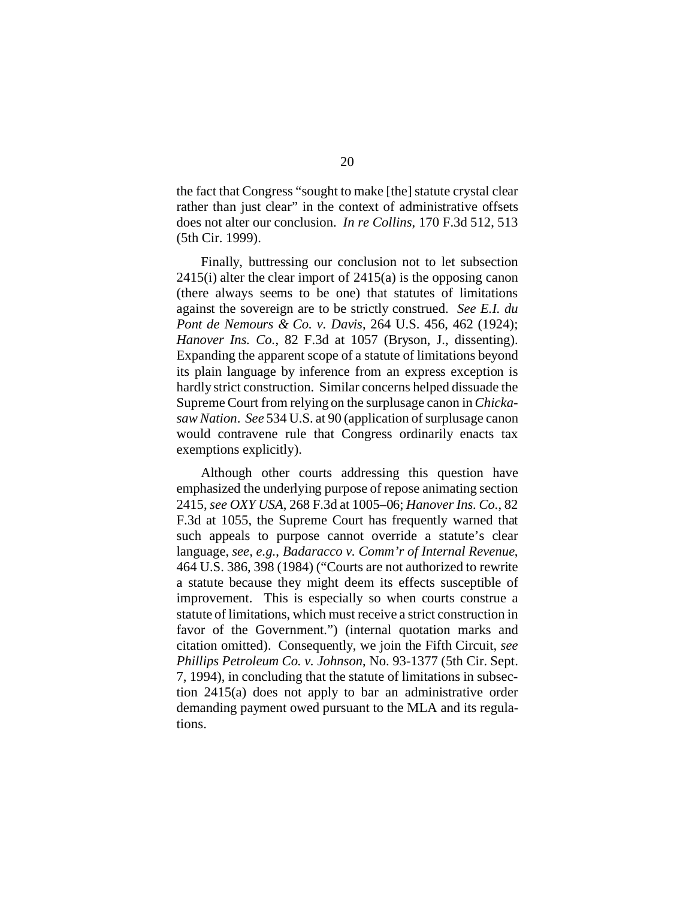the fact that Congress "sought to make [the] statute crystal clear rather than just clear" in the context of administrative offsets does not alter our conclusion. *In re Collins*, 170 F.3d 512, 513 (5th Cir. 1999).

Finally, buttressing our conclusion not to let subsection  $2415(i)$  alter the clear import of  $2415(i)$  is the opposing canon (there always seems to be one) that statutes of limitations against the sovereign are to be strictly construed. *See E.I. du Pont de Nemours & Co. v. Davis*, 264 U.S. 456, 462 (1924); *Hanover Ins. Co.*, 82 F.3d at 1057 (Bryson, J., dissenting). Expanding the apparent scope of a statute of limitations beyond its plain language by inference from an express exception is hardly strict construction. Similar concerns helped dissuade the Supreme Court from relying on the surplusage canon in *Chickasaw Nation*. *See* 534 U.S. at 90 (application of surplusage canon would contravene rule that Congress ordinarily enacts tax exemptions explicitly).

Although other courts addressing this question have emphasized the underlying purpose of repose animating section 2415, *see OXY USA*, 268 F.3d at 1005–06; *Hanover Ins. Co.*, 82 F.3d at 1055, the Supreme Court has frequently warned that such appeals to purpose cannot override a statute's clear language, *see, e.g.*, *Badaracco v. Comm'r of Internal Revenue*, 464 U.S. 386, 398 (1984) ("Courts are not authorized to rewrite a statute because they might deem its effects susceptible of improvement. This is especially so when courts construe a statute of limitations, which must receive a strict construction in favor of the Government.") (internal quotation marks and citation omitted). Consequently, we join the Fifth Circuit, *see Phillips Petroleum Co. v. Johnson*, No. 93-1377 (5th Cir. Sept. 7, 1994), in concluding that the statute of limitations in subsection 2415(a) does not apply to bar an administrative order demanding payment owed pursuant to the MLA and its regulations.